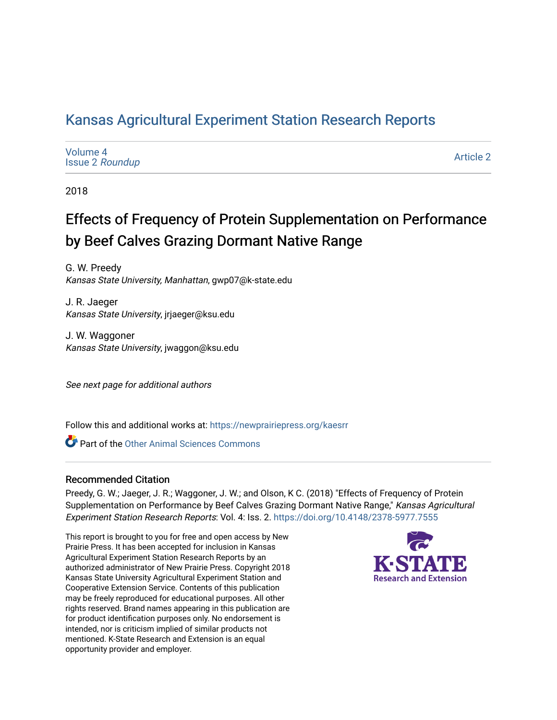## [Kansas Agricultural Experiment Station Research Reports](https://newprairiepress.org/kaesrr)

| Volume 4<br><b>Issue 2 Roundup</b> | <b>Article 2</b> |
|------------------------------------|------------------|
|------------------------------------|------------------|

2018

## Effects of Frequency of Protein Supplementation on Performance by Beef Calves Grazing Dormant Native Range

G. W. Preedy Kansas State University, Manhattan, gwp07@k-state.edu

J. R. Jaeger Kansas State University, jrjaeger@ksu.edu

J. W. Waggoner Kansas State University, jwaggon@ksu.edu

See next page for additional authors

Follow this and additional works at: [https://newprairiepress.org/kaesrr](https://newprairiepress.org/kaesrr?utm_source=newprairiepress.org%2Fkaesrr%2Fvol4%2Fiss2%2F2&utm_medium=PDF&utm_campaign=PDFCoverPages) 

**C** Part of the [Other Animal Sciences Commons](http://network.bepress.com/hgg/discipline/82?utm_source=newprairiepress.org%2Fkaesrr%2Fvol4%2Fiss2%2F2&utm_medium=PDF&utm_campaign=PDFCoverPages)

### Recommended Citation

Preedy, G. W.; Jaeger, J. R.; Waggoner, J. W.; and Olson, K C. (2018) "Effects of Frequency of Protein Supplementation on Performance by Beef Calves Grazing Dormant Native Range," Kansas Agricultural Experiment Station Research Reports: Vol. 4: Iss. 2. <https://doi.org/10.4148/2378-5977.7555>

This report is brought to you for free and open access by New Prairie Press. It has been accepted for inclusion in Kansas Agricultural Experiment Station Research Reports by an authorized administrator of New Prairie Press. Copyright 2018 Kansas State University Agricultural Experiment Station and Cooperative Extension Service. Contents of this publication may be freely reproduced for educational purposes. All other rights reserved. Brand names appearing in this publication are for product identification purposes only. No endorsement is intended, nor is criticism implied of similar products not mentioned. K-State Research and Extension is an equal opportunity provider and employer.

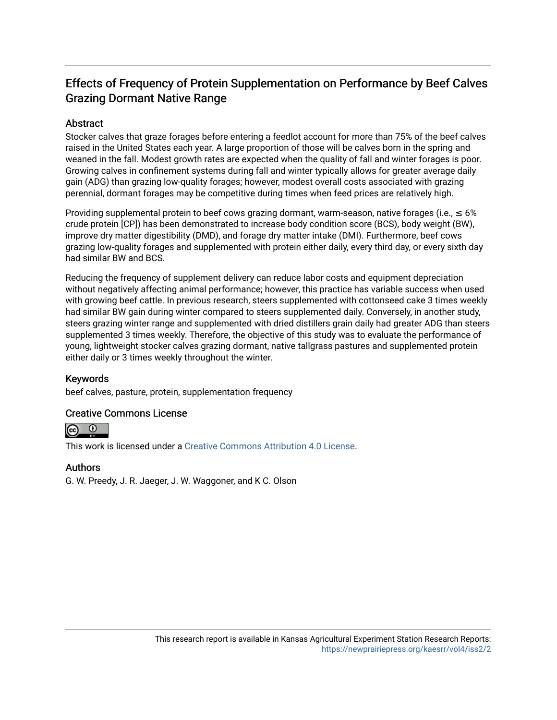## Effects of Frequency of Protein Supplementation on Performance by Beef Calves Grazing Dormant Native Range

### **Abstract**

Stocker calves that graze forages before entering a feedlot account for more than 75% of the beef calves raised in the United States each year. A large proportion of those will be calves born in the spring and weaned in the fall. Modest growth rates are expected when the quality of fall and winter forages is poor. Growing calves in confinement systems during fall and winter typically allows for greater average daily gain (ADG) than grazing low-quality forages; however, modest overall costs associated with grazing perennial, dormant forages may be competitive during times when feed prices are relatively high.

Providing supplemental protein to beef cows grazing dormant, warm-season, native forages (i.e.,  $\leq 6\%$ crude protein [CP]) has been demonstrated to increase body condition score (BCS), body weight (BW), improve dry matter digestibility (DMD), and forage dry matter intake (DMI). Furthermore, beef cows grazing low-quality forages and supplemented with protein either daily, every third day, or every sixth day had similar BW and BCS.

Reducing the frequency of supplement delivery can reduce labor costs and equipment depreciation without negatively affecting animal performance; however, this practice has variable success when used with growing beef cattle. In previous research, steers supplemented with cottonseed cake 3 times weekly had similar BW gain during winter compared to steers supplemented daily. Conversely, in another study, steers grazing winter range and supplemented with dried distillers grain daily had greater ADG than steers supplemented 3 times weekly. Therefore, the objective of this study was to evaluate the performance of young, lightweight stocker calves grazing dormant, native tallgrass pastures and supplemented protein either daily or 3 times weekly throughout the winter.

### Keywords

beef calves, pasture, protein, supplementation frequency

### Creative Commons License



This work is licensed under a [Creative Commons Attribution 4.0 License](https://creativecommons.org/licenses/by/4.0/).

### Authors

G. W. Preedy, J. R. Jaeger, J. W. Waggoner, and K C. Olson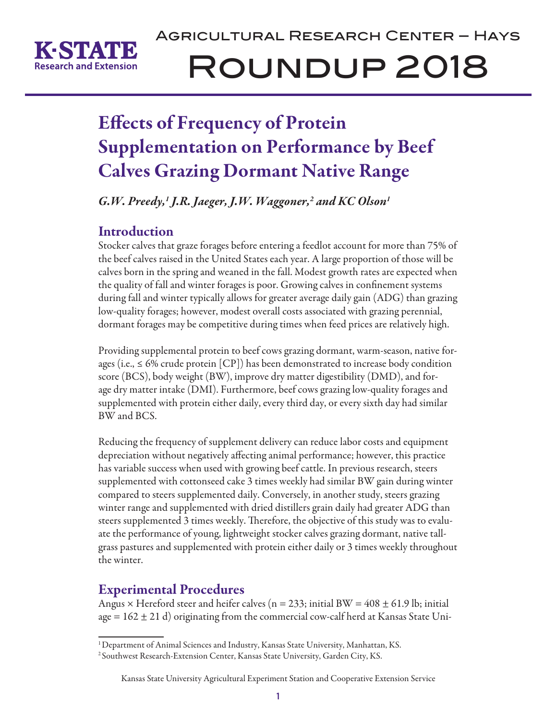

# Agricultural Research Center – Hays Roundup 2018

## Effects of Frequency of Protein Supplementation on Performance by Beef Calves Grazing Dormant Native Range

*G.W. Preedy,1 J.R. Jaeger, J.W. Waggoner,2 and KC Olson1*

## Introduction

Stocker calves that graze forages before entering a feedlot account for more than 75% of the beef calves raised in the United States each year. A large proportion of those will be calves born in the spring and weaned in the fall. Modest growth rates are expected when the quality of fall and winter forages is poor. Growing calves in confinement systems during fall and winter typically allows for greater average daily gain (ADG) than grazing low-quality forages; however, modest overall costs associated with grazing perennial, dormant forages may be competitive during times when feed prices are relatively high.

Providing supplemental protein to beef cows grazing dormant, warm-season, native forages (i.e.,  $\leq 6\%$  crude protein [CP]) has been demonstrated to increase body condition score (BCS), body weight (BW), improve dry matter digestibility (DMD), and forage dry matter intake (DMI). Furthermore, beef cows grazing low-quality forages and supplemented with protein either daily, every third day, or every sixth day had similar BW and BCS.

Reducing the frequency of supplement delivery can reduce labor costs and equipment depreciation without negatively affecting animal performance; however, this practice has variable success when used with growing beef cattle. In previous research, steers supplemented with cottonseed cake 3 times weekly had similar BW gain during winter compared to steers supplemented daily. Conversely, in another study, steers grazing winter range and supplemented with dried distillers grain daily had greater ADG than steers supplemented 3 times weekly. Therefore, the objective of this study was to evaluate the performance of young, lightweight stocker calves grazing dormant, native tallgrass pastures and supplemented with protein either daily or 3 times weekly throughout the winter.

## Experimental Procedures

Angus  $\times$  Hereford steer and heifer calves (n = 233; initial BW = 408  $\pm$  61.9 lb; initial age  $= 162 \pm 21$  d) originating from the commercial cow-calf herd at Kansas State Uni-

<sup>&</sup>lt;sup>1</sup> Department of Animal Sciences and Industry, Kansas State University, Manhattan, KS.

<sup>&</sup>lt;sup>2</sup> Southwest Research-Extension Center, Kansas State University, Garden City, KS.

Kansas State University Agricultural Experiment Station and Cooperative Extension Service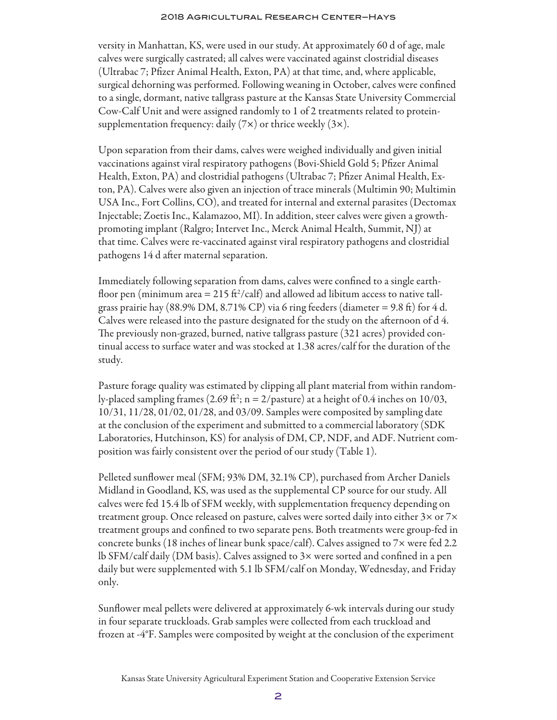#### 2018 Agricultural Research Center–Hays

versity in Manhattan, KS, were used in our study. At approximately 60 d of age, male calves were surgically castrated; all calves were vaccinated against clostridial diseases (Ultrabac 7; Pfizer Animal Health, Exton, PA) at that time, and, where applicable, surgical dehorning was performed. Following weaning in October, calves were confined to a single, dormant, native tallgrass pasture at the Kansas State University Commercial Cow-Calf Unit and were assigned randomly to 1 of 2 treatments related to proteinsupplementation frequency: daily  $(7x)$  or thrice weekly  $(3x)$ .

Upon separation from their dams, calves were weighed individually and given initial vaccinations against viral respiratory pathogens (Bovi-Shield Gold 5; Pfizer Animal Health, Exton, PA) and clostridial pathogens (Ultrabac 7; Pfizer Animal Health, Exton, PA). Calves were also given an injection of trace minerals (Multimin 90; Multimin USA Inc., Fort Collins, CO), and treated for internal and external parasites (Dectomax Injectable; Zoetis Inc., Kalamazoo, MI). In addition, steer calves were given a growthpromoting implant (Ralgro; Intervet Inc., Merck Animal Health, Summit, NJ) at that time. Calves were re-vaccinated against viral respiratory pathogens and clostridial pathogens 14 d after maternal separation.

Immediately following separation from dams, calves were confined to a single earthfloor pen (minimum area = 215 ft $^2$ /calf) and allowed ad libitum access to native tallgrass prairie hay (88.9% DM, 8.71% CP) via 6 ring feeders (diameter = 9.8 ft) for 4 d. Calves were released into the pasture designated for the study on the afternoon of d 4. The previously non-grazed, burned, native tallgrass pasture (321 acres) provided continual access to surface water and was stocked at 1.38 acres/calf for the duration of the study.

Pasture forage quality was estimated by clipping all plant material from within randomly-placed sampling frames (2.69 ft<sup>2</sup>; n = 2/pasture) at a height of 0.4 inches on 10/03, 10/31, 11/28, 01/02, 01/28, and 03/09. Samples were composited by sampling date at the conclusion of the experiment and submitted to a commercial laboratory (SDK Laboratories, Hutchinson, KS) for analysis of DM, CP, NDF, and ADF. Nutrient composition was fairly consistent over the period of our study (Table 1).

Pelleted sunflower meal (SFM; 93% DM, 32.1% CP), purchased from Archer Daniels Midland in Goodland, KS, was used as the supplemental CP source for our study. All calves were fed 15.4 lb of SFM weekly, with supplementation frequency depending on treatment group. Once released on pasture, calves were sorted daily into either  $3\times$  or  $7\times$ treatment groups and confined to two separate pens. Both treatments were group-fed in concrete bunks (18 inches of linear bunk space/calf). Calves assigned to 7× were fed 2.2 lb SFM/calf daily (DM basis). Calves assigned to 3× were sorted and confined in a pen daily but were supplemented with 5.1 lb SFM/calf on Monday, Wednesday, and Friday only.

Sunflower meal pellets were delivered at approximately 6-wk intervals during our study in four separate truckloads. Grab samples were collected from each truckload and frozen at -4°F. Samples were composited by weight at the conclusion of the experiment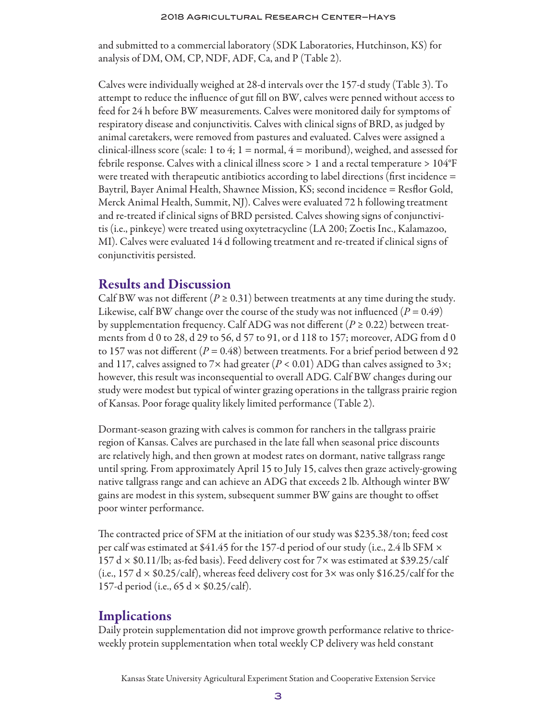and submitted to a commercial laboratory (SDK Laboratories, Hutchinson, KS) for analysis of DM, OM, CP, NDF, ADF, Ca, and P (Table 2).

Calves were individually weighed at 28-d intervals over the 157-d study (Table 3). To attempt to reduce the influence of gut fill on BW, calves were penned without access to feed for 24 h before BW measurements. Calves were monitored daily for symptoms of respiratory disease and conjunctivitis. Calves with clinical signs of BRD, as judged by animal caretakers, were removed from pastures and evaluated. Calves were assigned a clinical-illness score (scale: 1 to 4; 1 = normal,  $4 =$  moribund), weighed, and assessed for febrile response. Calves with a clinical illness score > 1 and a rectal temperature > 104°F were treated with therapeutic antibiotics according to label directions (first incidence = Baytril, Bayer Animal Health, Shawnee Mission, KS; second incidence = Resflor Gold, Merck Animal Health, Summit, NJ). Calves were evaluated 72 h following treatment and re-treated if clinical signs of BRD persisted. Calves showing signs of conjunctivitis (i.e., pinkeye) were treated using oxytetracycline (LA 200; Zoetis Inc., Kalamazoo, MI). Calves were evaluated 14 d following treatment and re-treated if clinical signs of conjunctivitis persisted.

### Results and Discussion

Calf BW was not different ( $P \ge 0.31$ ) between treatments at any time during the study. Likewise, calf BW change over the course of the study was not influenced  $(P = 0.49)$ by supplementation frequency. Calf ADG was not different  $(P \ge 0.22)$  between treatments from d 0 to 28, d 29 to 56, d 57 to 91, or d 118 to 157; moreover, ADG from d 0 to 157 was not different  $(P = 0.48)$  between treatments. For a brief period between d 92 and 117, calves assigned to 7 $\times$  had greater ( $P < 0.01$ ) ADG than calves assigned to 3 $\times$ ; however, this result was inconsequential to overall ADG. Calf BW changes during our study were modest but typical of winter grazing operations in the tallgrass prairie region of Kansas. Poor forage quality likely limited performance (Table 2).

Dormant-season grazing with calves is common for ranchers in the tallgrass prairie region of Kansas. Calves are purchased in the late fall when seasonal price discounts are relatively high, and then grown at modest rates on dormant, native tallgrass range until spring. From approximately April 15 to July 15, calves then graze actively-growing native tallgrass range and can achieve an ADG that exceeds 2 lb. Although winter BW gains are modest in this system, subsequent summer BW gains are thought to offset poor winter performance.

The contracted price of SFM at the initiation of our study was \$235.38/ton; feed cost per calf was estimated at \$41.45 for the 157-d period of our study (i.e., 2.4 lb SFM  $\times$  $157 \, \text{d} \times $0.11/\text{lb}$ ; as-fed basis). Feed delivery cost for 7× was estimated at \$39.25/calf (i.e., 157 d  $\times$  \$0.25/calf), whereas feed delivery cost for 3 $\times$  was only \$16.25/calf for the 157-d period (i.e., 65 d  $\times$  \$0.25/calf).

## **Implications**

Daily protein supplementation did not improve growth performance relative to thriceweekly protein supplementation when total weekly CP delivery was held constant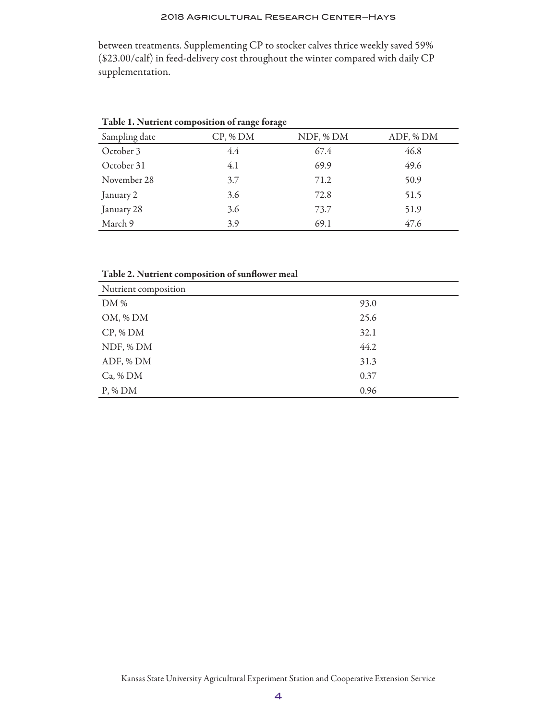### 2018 Agricultural Research Center–Hays

between treatments. Supplementing CP to stocker calves thrice weekly saved 59% (\$23.00/calf) in feed-delivery cost throughout the winter compared with daily CP supplementation.

|               | $\sigma$ | $\sigma$  |           |
|---------------|----------|-----------|-----------|
| Sampling date | CP, % DM | NDF, % DM | ADF, % DM |
| October 3     | 4.4      | 67.4      | 46.8      |
| October 31    | 4.1      | 69.9      | 49.6      |
| November 28   | 3.7      | 71.2      | 50.9      |
| January 2     | 3.6      | 72.8      | 51.5      |
| January 28    | 3.6      | 73.7      | 51.9      |
| March 9       | 3.9      | 69.1      | 47.6      |

Table 1. Nutrient composition of range forage

Table 2. Nutrient composition of sunflower meal

| Nutrient composition |      |
|----------------------|------|
| DM %                 | 93.0 |
| OM, % DM             | 25.6 |
| CP, % DM             | 32.1 |
| NDF, % DM            | 44.2 |
| ADF, % DM            | 31.3 |
| $Ca$ , % DM          | 0.37 |
| $P, \%$ DM           | 0.96 |